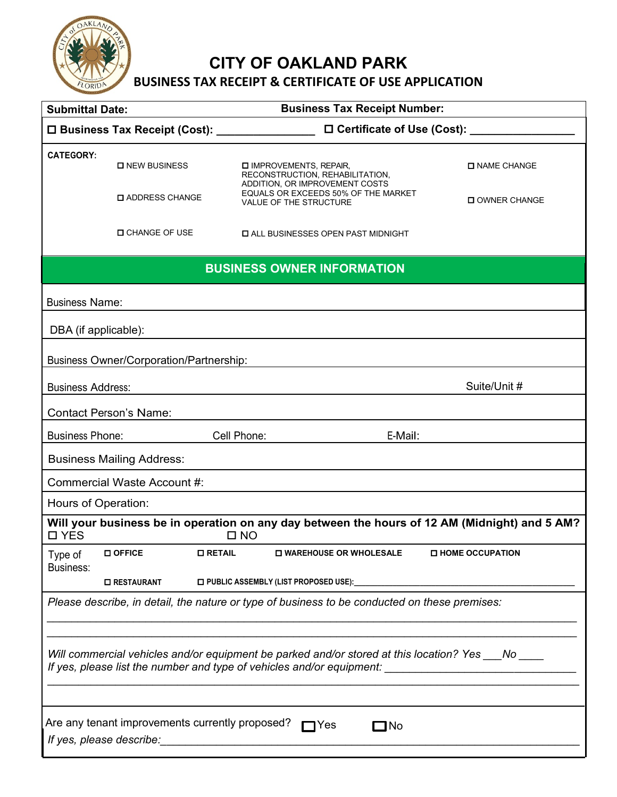

**CITY OF OAKLAND PARK** 

# **BUSINESS TAX RECEIPT & CERTIFICATE OF USE APPLICATION**

| <b>Submittal Date:</b>                                                                             |                                                 | <b>Business Tax Receipt Number:</b>                                                                        |                          |  |
|----------------------------------------------------------------------------------------------------|-------------------------------------------------|------------------------------------------------------------------------------------------------------------|--------------------------|--|
|                                                                                                    | □ Business Tax Receipt (Cost): ________________ | □ Certificate of Use (Cost): ____                                                                          |                          |  |
| <b>CATEGORY:</b>                                                                                   | <b>O</b> NEW BUSINESS                           | IMPROVEMENTS, REPAIR,<br>RECONSTRUCTION, REHABILITATION,<br>ADDITION, OR IMPROVEMENT COSTS                 | <b>O NAME CHANGE</b>     |  |
|                                                                                                    | <b>LADDRESS CHANGE</b>                          | EQUALS OR EXCEEDS 50% OF THE MARKET<br><b>VALUE OF THE STRUCTURE</b>                                       | <b>OWNER CHANGE</b>      |  |
|                                                                                                    | <b>D</b> CHANGE OF USE                          | <b>LALL BUSINESSES OPEN PAST MIDNIGHT</b>                                                                  |                          |  |
|                                                                                                    |                                                 | <b>BUSINESS OWNER INFORMATION</b>                                                                          |                          |  |
| <b>Business Name:</b>                                                                              |                                                 |                                                                                                            |                          |  |
| DBA (if applicable):                                                                               |                                                 |                                                                                                            |                          |  |
| <b>Business Owner/Corporation/Partnership:</b>                                                     |                                                 |                                                                                                            |                          |  |
| <b>Business Address:</b>                                                                           |                                                 |                                                                                                            | Suite/Unit #             |  |
| <b>Contact Person's Name:</b>                                                                      |                                                 |                                                                                                            |                          |  |
| <b>Business Phone:</b>                                                                             |                                                 | Cell Phone:<br>E-Mail:                                                                                     |                          |  |
|                                                                                                    | <b>Business Mailing Address:</b>                |                                                                                                            |                          |  |
|                                                                                                    | Commercial Waste Account #:                     |                                                                                                            |                          |  |
| Hours of Operation:                                                                                |                                                 |                                                                                                            |                          |  |
| □ YES                                                                                              |                                                 | Will your business be in operation on any day between the hours of 12 AM (Midnight) and 5 AM?<br>$\Box$ NO |                          |  |
| Type of<br>Business:                                                                               | <b>OFFICE</b><br><b>O RETAIL</b>                | <b>LI WAREHOUSE OR WHOLESALE</b>                                                                           | <b>O HOME OCCUPATION</b> |  |
|                                                                                                    | <b>O RESTAURANT</b>                             | □ PUBLIC ASSEMBLY (LIST PROPOSED USE):                                                                     |                          |  |
| Please describe, in detail, the nature or type of business to be conducted on these premises:      |                                                 |                                                                                                            |                          |  |
|                                                                                                    |                                                 |                                                                                                            |                          |  |
| Will commercial vehicles and/or equipment be parked and/or stored at this location? Yes ___No ____ |                                                 |                                                                                                            |                          |  |
|                                                                                                    |                                                 |                                                                                                            |                          |  |
|                                                                                                    | Are any tenant improvements currently proposed? | $\blacksquare$<br>$\Box$ No                                                                                |                          |  |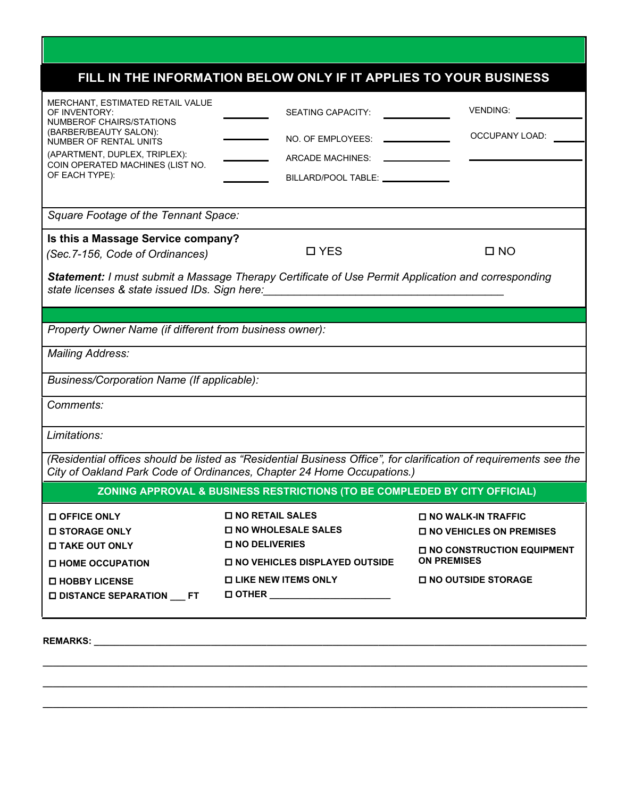# **FILL IN THE INFORMATION BELOW ONLY IF IT APPLIES TO YOUR BUSINESS**

| MERCHANT, ESTIMATED RETAIL VALUE<br>OF INVENTORY:<br>NUMBEROF CHAIRS/STATIONS<br>(BARBER/BEAUTY SALON):<br><b>NUMBER OF RENTAL UNITS</b><br>(APARTMENT, DUPLEX, TRIPLEX):<br>COIN OPERATED MACHINES (LIST NO.<br>OF EACH TYPE): | <b>SEATING CAPACITY:</b><br>NO. OF EMPLOYEES:<br>ARCADE MACHINES:<br>BILLARD/POOL TABLE: ________________                                                                                                                            | <b>VENDING:</b><br><b>OCCUPANY LOAD:</b>                                                                                                             |  |  |
|---------------------------------------------------------------------------------------------------------------------------------------------------------------------------------------------------------------------------------|--------------------------------------------------------------------------------------------------------------------------------------------------------------------------------------------------------------------------------------|------------------------------------------------------------------------------------------------------------------------------------------------------|--|--|
| Square Footage of the Tennant Space:                                                                                                                                                                                            |                                                                                                                                                                                                                                      |                                                                                                                                                      |  |  |
| Is this a Massage Service company?<br>(Sec. 7-156, Code of Ordinances)                                                                                                                                                          | □ YES<br><b>Statement: I must submit a Massage Therapy Certificate of Use Permit Application and corresponding</b>                                                                                                                   | □ NO                                                                                                                                                 |  |  |
|                                                                                                                                                                                                                                 | state licenses & state issued IDs. Sign here: <b>with the contract of the state of the state of the state of the state of the state of the state of the state of the state of the state of the state of the state of the state o</b> |                                                                                                                                                      |  |  |
|                                                                                                                                                                                                                                 |                                                                                                                                                                                                                                      |                                                                                                                                                      |  |  |
| Property Owner Name (if different from business owner):                                                                                                                                                                         |                                                                                                                                                                                                                                      |                                                                                                                                                      |  |  |
| <b>Mailing Address:</b>                                                                                                                                                                                                         |                                                                                                                                                                                                                                      |                                                                                                                                                      |  |  |
| Business/Corporation Name (If applicable):                                                                                                                                                                                      |                                                                                                                                                                                                                                      |                                                                                                                                                      |  |  |
| Comments:                                                                                                                                                                                                                       |                                                                                                                                                                                                                                      |                                                                                                                                                      |  |  |
| Limitations:                                                                                                                                                                                                                    |                                                                                                                                                                                                                                      |                                                                                                                                                      |  |  |
| (Residential offices should be listed as "Residential Business Office", for clarification of requirements see the<br>City of Oakland Park Code of Ordinances, Chapter 24 Home Occupations.)                                     |                                                                                                                                                                                                                                      |                                                                                                                                                      |  |  |
| ZONING APPROVAL & BUSINESS RESTRICTIONS (TO BE COMPLEDED BY CITY OFFICIAL)                                                                                                                                                      |                                                                                                                                                                                                                                      |                                                                                                                                                      |  |  |
| <b>O OFFICE ONLY</b><br><b>D STORAGE ONLY</b><br><b>ITAKE OUT ONLY</b><br>□ HOME OCCUPATION<br><b>O HOBBY LICENSE</b><br>□ DISTANCE SEPARATION FT                                                                               | <b>D NO RETAIL SALES</b><br><b>O NO WHOLESALE SALES</b><br><b>O NO DELIVERIES</b><br><b>O NO VEHICLES DISPLAYED OUTSIDE</b><br><b>O LIKE NEW ITEMS ONLY</b><br><b>D OTHER</b> ______________________                                 | <b>O NO WALK-IN TRAFFIC</b><br>$\square$ NO VEHICLES ON PREMISES<br><b>O NO CONSTRUCTION EQUIPMENT</b><br><b>ON PREMISES</b><br>□ NO OUTSIDE STORAGE |  |  |

**\_\_\_\_\_\_\_\_\_\_\_\_\_\_\_\_\_\_\_\_\_\_\_\_\_\_\_\_\_\_\_\_\_\_\_\_\_\_\_\_\_\_\_\_\_\_\_\_\_\_\_\_\_\_\_\_\_\_\_\_\_\_\_\_\_\_\_\_\_\_\_\_\_\_\_\_\_\_\_\_\_\_\_\_\_\_\_\_\_\_\_\_\_\_\_\_\_\_\_\_\_\_\_\_\_\_\_\_**

**\_\_\_\_\_\_\_\_\_\_\_\_\_\_\_\_\_\_\_\_\_\_\_\_\_\_\_\_\_\_\_\_\_\_\_\_\_\_\_\_\_\_\_\_\_\_\_\_\_\_\_\_\_\_\_\_\_\_\_\_\_\_\_\_\_\_\_\_\_\_\_\_\_\_\_\_\_\_\_\_\_\_\_\_\_\_\_\_\_\_\_\_\_\_\_\_\_\_\_\_\_\_\_\_\_\_\_\_**

**\_\_\_\_\_\_\_\_\_\_\_\_\_\_\_\_\_\_\_\_\_\_\_\_\_\_\_\_\_\_\_\_\_\_\_\_\_\_\_\_\_\_\_\_\_\_\_\_\_\_\_\_\_\_\_\_\_\_\_\_\_\_\_\_\_\_\_\_\_\_\_\_\_\_\_\_\_\_\_\_\_\_\_\_\_\_\_\_\_\_\_\_\_\_\_\_\_\_\_\_\_\_\_\_\_\_\_\_**

**REMARKS: \_\_\_\_\_\_\_\_\_\_\_\_\_\_\_\_\_\_\_\_\_\_\_\_\_\_\_\_\_\_\_\_\_\_\_\_\_\_\_\_\_\_\_\_\_\_\_\_\_\_\_\_\_\_\_\_\_\_\_\_\_\_\_\_\_\_\_\_\_\_\_\_\_\_\_\_\_\_\_\_\_\_\_\_\_\_\_\_\_\_\_\_\_\_\_\_\_**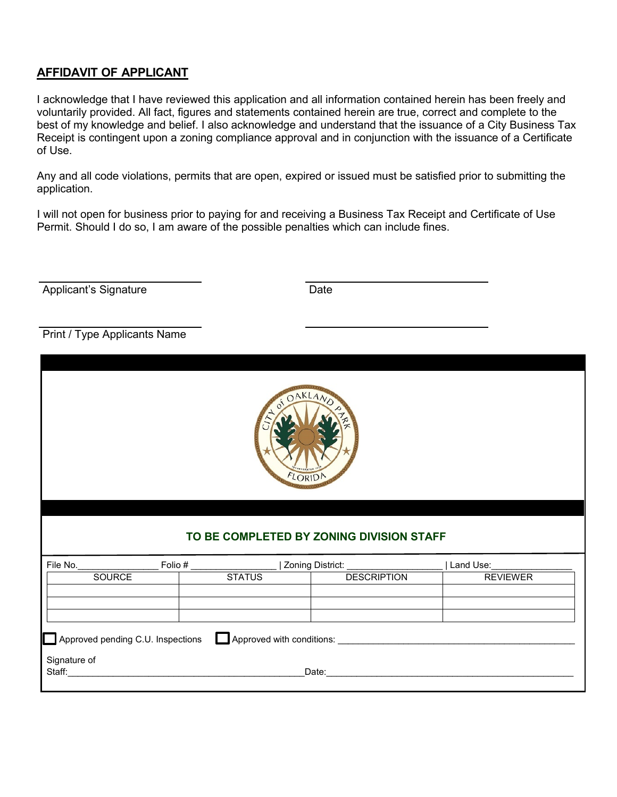#### **AFFIDAVIT OF APPLICANT**

I acknowledge that I have reviewed this application and all information contained herein has been freely and voluntarily provided. All fact, figures and statements contained herein are true, correct and complete to the best of my knowledge and belief. I also acknowledge and understand that the issuance of a City Business Tax Receipt is contingent upon a zoning compliance approval and in conjunction with the issuance of a Certificate of Use.

Any and all code violations, permits that are open, expired or issued must be satisfied prior to submitting the application.

I will not open for business prior to paying for and receiving a Business Tax Receipt and Certificate of Use Permit. Should I do so, I am aware of the possible penalties which can include fines.

Applicant's Signature Date

Print / Type Applicants Name



#### **TO BE COMPLETED BY ZONING DIVISION STAFF**

| File No.                                                       | Folio# |               | Zoning District:   | Land Use:       |
|----------------------------------------------------------------|--------|---------------|--------------------|-----------------|
| SOURCE                                                         |        | <b>STATUS</b> | <b>DESCRIPTION</b> | <b>REVIEWER</b> |
|                                                                |        |               |                    |                 |
|                                                                |        |               |                    |                 |
|                                                                |        |               |                    |                 |
| Approved pending C.U. Inspections<br>Approved with conditions: |        |               |                    |                 |
| Signature of<br>Staff:<br>Date:                                |        |               |                    |                 |
|                                                                |        |               |                    |                 |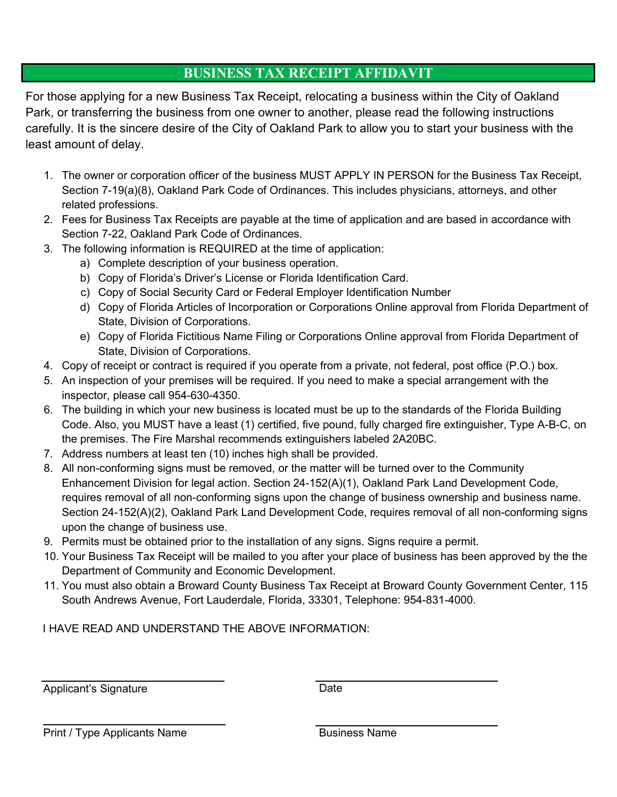### **BUSINESS TAX RECEIPT AFFIDAVIT**

For those applying for a new Business Tax Receipt, relocating a business within the City of Oakland Park, or transferring the business from one owner to another, please read the following instructions carefully. It is the sincere desire of the City of Oakland Park to allow you to start your business with the least amount of delay.

- 1. The owner or corporation officer of the business MUST APPLY IN PERSON for the Business Tax Receipt, Section 7-19(a)(8), Oakland Park Code of Ordinances. This includes physicians, attorneys, and other related professions.
- 2. Fees for Business Tax Receipts are payable at the time of application and are based in accordance with Section 7-22, Oakland Park Code of Ordinances.
- 3. The following information is REQUIRED at the time of application:
	- a) Complete description of your business operation.
	- b) Copy of Florida's Driver's License or Florida Identification Card.
	- c) Copy of Social Security Card or Federal Employer Identification Number
	- d) Copy of Florida Articles of Incorporation or Corporations Online approval from Florida Department of State, Division of Corporations.
	- e) Copy of Florida Fictitious Name Filing or Corporations Online approval from Florida Department of State, Division of Corporations.
- 4. Copy of receipt or contract is required if you operate from a private, not federal, post office (P.O.) box.
- 5. An inspection of your premises will be required. If you need to make a special arrangement with the inspector, please call 954-630-4350.
- 6. The building in which your new business is located must be up to the standards of the Florida Building Code. Also, you MUST have a least (1) certified, five pound, fully charged fire extinguisher, Type A-B-C, on the premises. The Fire Marshal recommends extinguishers labeled 2A20BC.
- 7. Address numbers at least ten (10) inches high shall be provided.
- 8. All non-conforming signs must be removed, or the matter will be turned over to the Community Enhancement Division for legal action. Section 24-152(A)(1), Oakland Park Land Development Code, requires removal of all non-conforming signs upon the change of business ownership and business name. Section 24-152(A)(2), Oakland Park Land Development Code, requires removal of all non-conforming signs upon the change of business use.
- 9. Permits must be obtained prior to the installation of any signs. Signs require a permit.
- 10. Your Business Tax Receipt will be mailed to you after your place of business has been approved by the the Department of Community and Economic Development.
- 11. You must also obtain a Broward County Business Tax Receipt at Broward County Government Center, 115 South Andrews Avenue, Fort Lauderdale, Florida, 33301, Telephone: 954-831-4000.

I HAVE READ AND UNDERSTAND THE ABOVE INFORMATION:

Applicant's Signature Date

Print / Type Applicants Name **Business Name**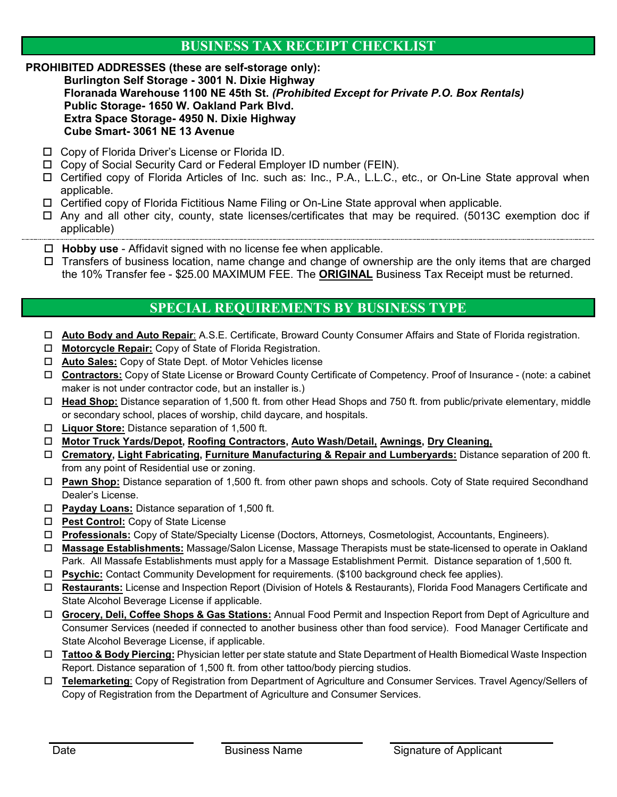#### **BUSINESS TAX RECEIPT CHECKLIST**

#### **PROHIBITED ADDRESSES (these are self-storage only):**

**Burlington Self Storage - 3001 N. Dixie Highway Floranada Warehouse 1100 NE 45th St.** *(Prohibited Except for Private P.O. Box Rentals)*  **Public Storage- 1650 W. Oakland Park Blvd. Extra Space Storage- 4950 N. Dixie Highway Cube Smart- 3061 NE 13 Avenue**

- Copy of Florida Driver's License or Florida ID.
- □ Copy of Social Security Card or Federal Employer ID number (FEIN).
- □ Certified copy of Florida Articles of Inc. such as: Inc., P.A., L.L.C., etc., or On-Line State approval when applicable.
- □ Certified copy of Florida Fictitious Name Filing or On-Line State approval when applicable.
- □ Any and all other city, county, state licenses/certificates that may be required. (5013C exemption doc if applicable)
- **Hobby use** Affidavit signed with no license fee when applicable.
- $\Box$  Transfers of business location, name change and change of ownership are the only items that are charged the 10% Transfer fee - \$25.00 MAXIMUM FEE. The **ORIGINAL** Business Tax Receipt must be returned.

#### **SPECIAL REQUIREMENTS BY BUSINESS TYPE**

- **Auto Body and Auto Repair**: A.S.E. Certificate, Broward County Consumer Affairs and State of Florida registration.
- **Motorcycle Repair:** Copy of State of Florida Registration.
- **Auto Sales:** Copy of State Dept. of Motor Vehicles license
- **Contractors:** Copy of State License or Broward County Certificate of Competency. Proof of Insurance (note: a cabinet maker is not under contractor code, but an installer is.)
- **Head Shop:** Distance separation of 1,500 ft. from other Head Shops and 750 ft. from public/private elementary, middle or secondary school, places of worship, child daycare, and hospitals.
- **Liquor Store:** Distance separation of 1,500 ft.
- **Motor Truck Yards/Depot, Roofing Contractors, Auto Wash/Detail, Awnings, Dry Cleaning,**
- **Crematory, Light Fabricating, Furniture Manufacturing & Repair and Lumberyards:** Distance separation of 200 ft. from any point of Residential use or zoning.
- **Pawn Shop:** Distance separation of 1,500 ft. from other pawn shops and schools. Coty of State required Secondhand Dealer's License.
- **Payday Loans:** Distance separation of 1,500 ft.
- **Pest Control:** Copy of State License
- **Professionals:** Copy of State/Specialty License (Doctors, Attorneys, Cosmetologist, Accountants, Engineers).
- **Massage Establishments:** Massage/Salon License, Massage Therapists must be state-licensed to operate in Oakland Park. All Massafe Establishments must apply for a Massage Establishment Permit. Distance separation of 1,500 ft.
- **Psychic:** Contact Community Development for requirements. (\$100 background check fee applies).
- **Restaurants:** License and Inspection Report (Division of Hotels & Restaurants), Florida Food Managers Certificate and State Alcohol Beverage License if applicable.
- **Grocery, Deli, Coffee Shops & Gas Stations:** Annual Food Permit and Inspection Report from Dept of Agriculture and Consumer Services (needed if connected to another business other than food service). Food Manager Certificate and State Alcohol Beverage License, if applicable.
- **Tattoo & Body Piercing:** Physician letter per state statute and State Department of Health Biomedical Waste Inspection Report. Distance separation of 1,500 ft. from other tattoo/body piercing studios.
- **Telemarketing**: Copy of Registration from Department of Agriculture and Consumer Services. Travel Agency/Sellers of Copy of Registration from the Department of Agriculture and Consumer Services.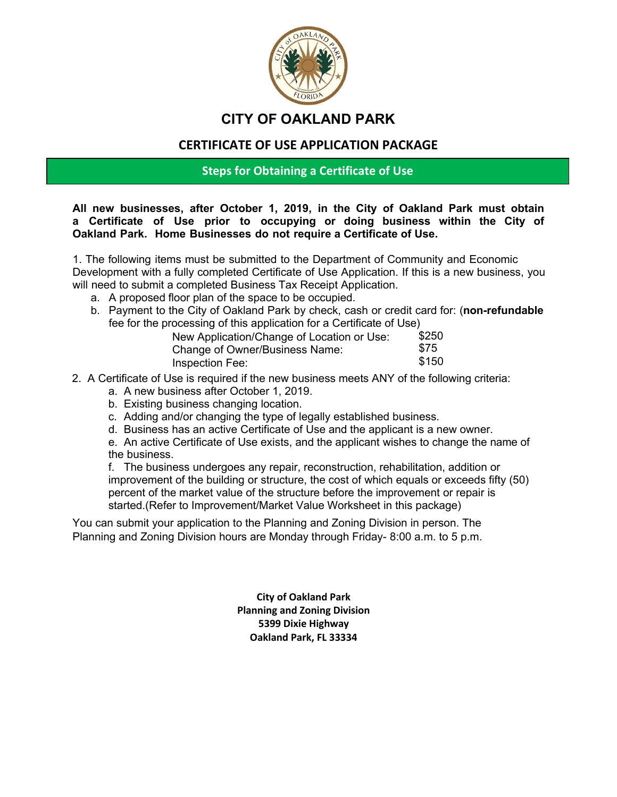

## **CITY OF OAKLAND PARK**

#### **CERTIFICATE OF USE APPLICATION PACKAGE**

#### **Steps for Obtaining a Certificate of Use**

**All new businesses, after October 1, 2019, in the City of Oakland Park must obtain a Certificate of Use prior to occupying or doing business within the City of Oakland Park. Home Businesses do not require a Certificate of Use.** 

1. The following items must be submitted to the Department of Community and Economic Development with a fully completed Certificate of Use Application. If this is a new business, you will need to submit a completed Business Tax Receipt Application.

- a. A proposed floor plan of the space to be occupied.
- b. Payment to the City of Oakland Park by check, cash or credit card for: (**non-refundable** fee for the processing of this application for a Certificate of Use)

| New Application/Change of Location or Use: | \$250 |
|--------------------------------------------|-------|
| Change of Owner/Business Name:             | \$75  |
| Inspection Fee:                            | \$150 |

- 2. A Certificate of Use is required if the new business meets ANY of the following criteria:
	- a. A new business after October 1, 2019.
	- b. Existing business changing location.
	- c. Adding and/or changing the type of legally established business.
	- d. Business has an active Certificate of Use and the applicant is a new owner.

e. An active Certificate of Use exists, and the applicant wishes to change the name of the business.

f. The business undergoes any repair, reconstruction, rehabilitation, addition or improvement of the building or structure, the cost of which equals or exceeds fifty (50) percent of the market value of the structure before the improvement or repair is started.(Refer to Improvement/Market Value Worksheet in this package)

You can submit your application to the Planning and Zoning Division in person. The Planning and Zoning Division hours are Monday through Friday- 8:00 a.m. to 5 p.m.

> **City of Oakland Park Planning and Zoning Division 5399 Dixie Highway Oakland Park, FL 33334**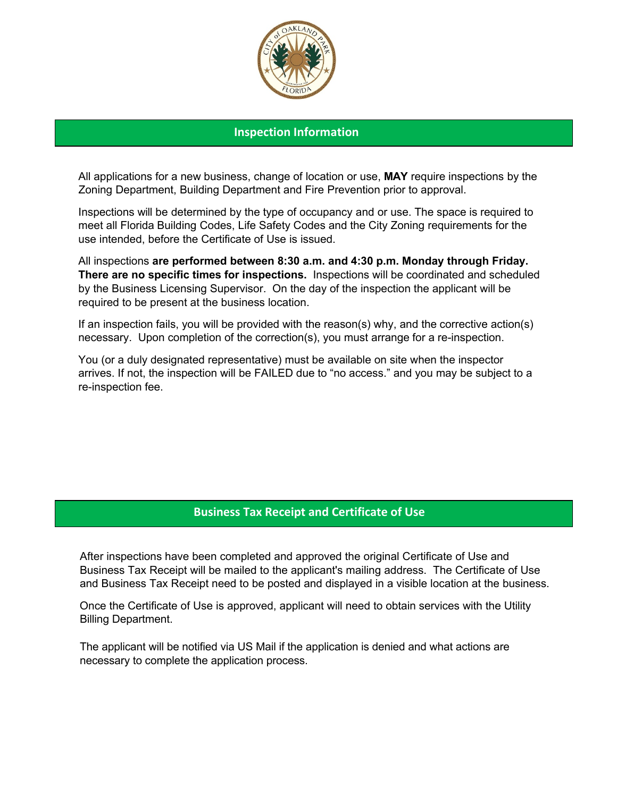

#### **Inspection Information**

All applications for a new business, change of location or use, **MAY** require inspections by the Zoning Department, Building Department and Fire Prevention prior to approval.

Inspections will be determined by the type of occupancy and or use. The space is required to meet all Florida Building Codes, Life Safety Codes and the City Zoning requirements for the use intended, before the Certificate of Use is issued.

All inspections **are performed between 8:30 a.m. and 4:30 p.m. Monday through Friday. There are no specific times for inspections.** Inspections will be coordinated and scheduled by the Business Licensing Supervisor. On the day of the inspection the applicant will be required to be present at the business location.

If an inspection fails, you will be provided with the reason(s) why, and the corrective action(s) necessary. Upon completion of the correction(s), you must arrange for a re-inspection.

You (or a duly designated representative) must be available on site when the inspector arrives. If not, the inspection will be FAILED due to "no access." and you may be subject to a re-inspection fee.

#### **Business Tax Receipt and Certificate of Use**

After inspections have been completed and approved the original Certificate of Use and Business Tax Receipt will be mailed to the applicant's mailing address. The Certificate of Use and Business Tax Receipt need to be posted and displayed in a visible location at the business.

Once the Certificate of Use is approved, applicant will need to obtain services with the Utility Billing Department.

The applicant will be notified via US Mail if the application is denied and what actions are necessary to complete the application process.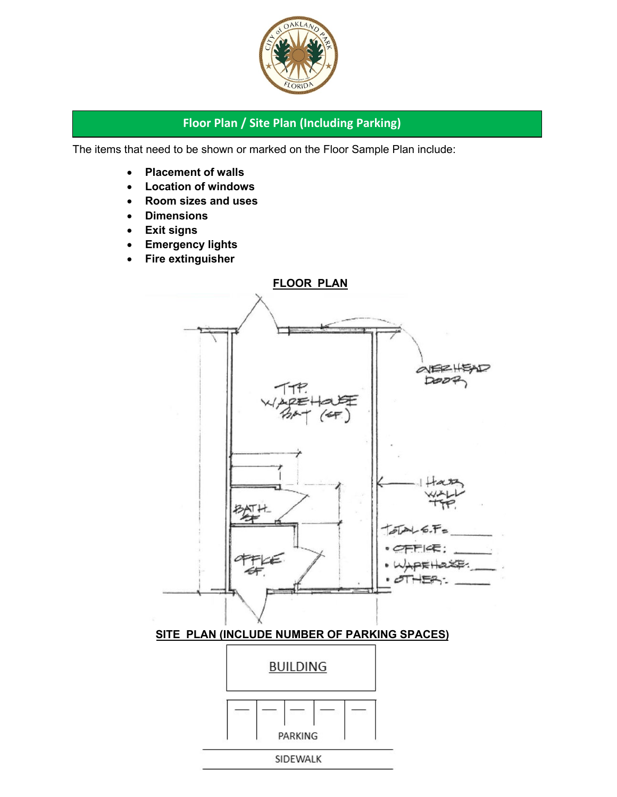

#### **Floor Plan / Site Plan (Including Parking)**

The items that need to be shown or marked on the Floor Sample Plan include:

- **Placement of walls**
- **Location of windows**
- **Room sizes and uses**
- **Dimensions**
- **Exit signs**
- **Emergency lights**
- **Fire extinguisher**

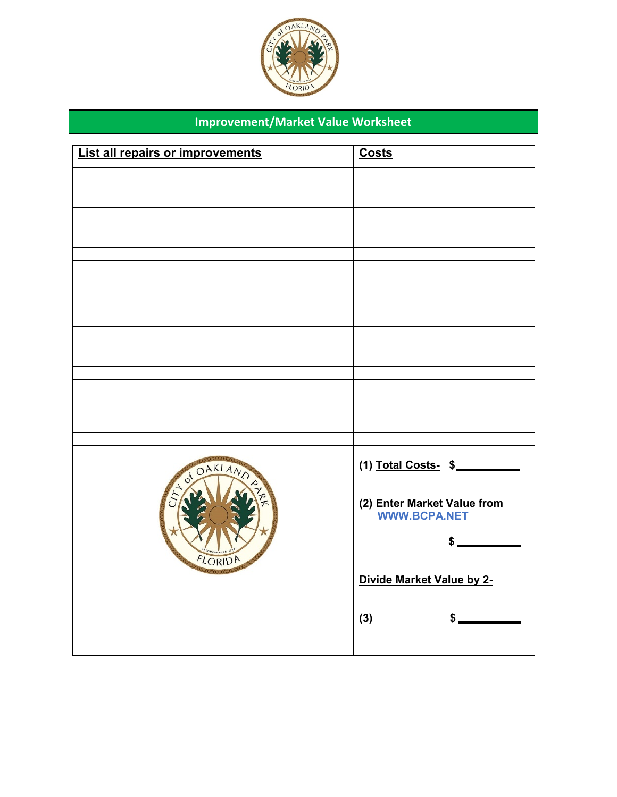

## **Improvement/Market Value Worksheet**

| List all repairs or improvements | <b>Costs</b>                                       |
|----------------------------------|----------------------------------------------------|
|                                  |                                                    |
|                                  |                                                    |
|                                  |                                                    |
|                                  |                                                    |
|                                  |                                                    |
|                                  |                                                    |
|                                  |                                                    |
|                                  |                                                    |
|                                  |                                                    |
|                                  |                                                    |
|                                  |                                                    |
|                                  |                                                    |
|                                  |                                                    |
|                                  |                                                    |
|                                  |                                                    |
| OS OAKL                          | (1) Total Costs-\$                                 |
|                                  | (2) Enter Market Value from<br><b>WWW.BCPA.NET</b> |
| FLORI                            |                                                    |
|                                  | Divide Market Value by 2-                          |
|                                  | (3)<br>\$                                          |
|                                  |                                                    |